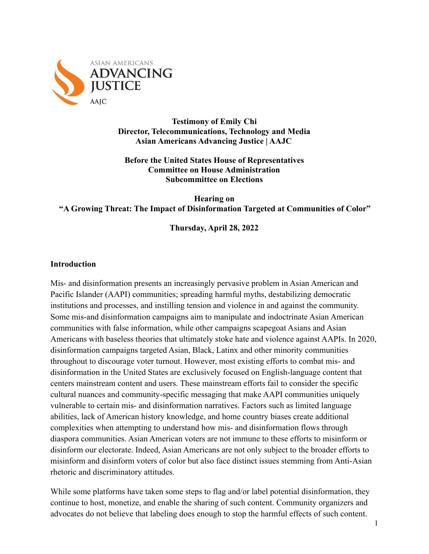

**Testimony of Emily Chi Director, Telecommunications, Technology and Media Asian Americans Advancing Justice | AAJC**

**Before the United States House of Representatives Committee on House Administration Subcommittee on Elections**

**Hearing on "A Growing Threat: The Impact of Disinformation Targeted at Communities of Color"**

**Thursday, April 28, 2022**

#### **Introduction**

Mis- and disinformation presents an increasingly pervasive problem in Asian American and Pacific Islander (AAPI) communities; spreading harmful myths, destabilizing democratic institutions and processes, and instilling tension and violence in and against the community. Some mis-and disinformation campaigns aim to manipulate and indoctrinate Asian American communities with false information, while other campaigns scapegoat Asians and Asian Americans with baseless theories that ultimately stoke hate and violence against AAPIs. In 2020, disinformation campaigns targeted Asian, Black, Latinx and other minority communities throughout to discourage voter turnout. However, most existing efforts to combat mis- and disinformation in the United States are exclusively focused on English-language content that centers mainstream content and users. These mainstream efforts fail to consider the specific cultural nuances and community-specific messaging that make AAPI communities uniquely vulnerable to certain mis- and disinformation narratives. Factors such as limited language abilities, lack of American history knowledge, and home country biases create additional complexities when attempting to understand how mis- and disinformation flows through diaspora communities. Asian American voters are not immune to these efforts to misinform or disinform our electorate. Indeed, Asian Americans are not only subject to the broader efforts to misinform and disinform voters of color but also face distinct issues stemming from Anti-Asian rhetoric and discriminatory attitudes.

While some platforms have taken some steps to flag and/or label potential disinformation, they continue to host, monetize, and enable the sharing of such content. Community organizers and advocates do not believe that labeling does enough to stop the harmful effects of such content.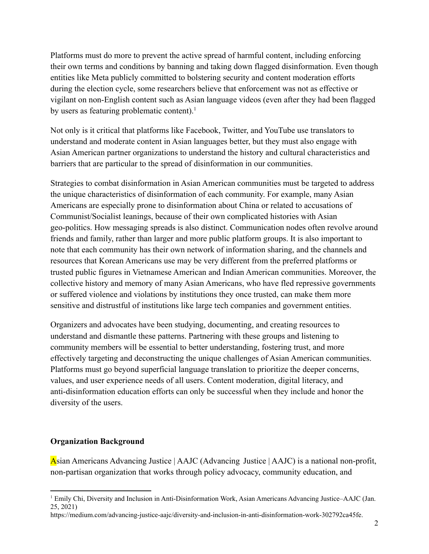Platforms must do more to prevent the active spread of harmful content, including enforcing their own terms and conditions by banning and taking down flagged disinformation. Even though entities like Meta publicly committed to bolstering security and content moderation efforts during the election cycle, some researchers believe that enforcement was not as effective or vigilant on non-English content such as Asian language videos (even after they had been flagged by users as featuring problematic content). $<sup>1</sup>$ </sup>

Not only is it critical that platforms like Facebook, Twitter, and YouTube use translators to understand and moderate content in Asian languages better, but they must also engage with Asian American partner organizations to understand the history and cultural characteristics and barriers that are particular to the spread of disinformation in our communities.

Strategies to combat disinformation in Asian American communities must be targeted to address the unique characteristics of disinformation of each community. For example, many Asian Americans are especially prone to disinformation about China or related to accusations of Communist/Socialist leanings, because of their own complicated histories with Asian geo-politics. How messaging spreads is also distinct. Communication nodes often revolve around friends and family, rather than larger and more public platform groups. It is also important to note that each community has their own network of information sharing, and the channels and resources that Korean Americans use may be very different from the preferred platforms or trusted public figures in Vietnamese American and Indian American communities. Moreover, the collective history and memory of many Asian Americans, who have fled repressive governments or suffered violence and violations by institutions they once trusted, can make them more sensitive and distrustful of institutions like large tech companies and government entities.

Organizers and advocates have been studying, documenting, and creating resources to understand and dismantle these patterns. Partnering with these groups and listening to community members will be essential to better understanding, fostering trust, and more effectively targeting and deconstructing the unique challenges of Asian American communities. Platforms must go beyond superficial language translation to prioritize the deeper concerns, values, and user experience needs of all users. Content moderation, digital literacy, and anti-disinformation education efforts can only be successful when they include and honor the diversity of the users.

### **Organization Background**

Asian Americans Advancing Justice | AAJC (Advancing Justice | AAJC) is a national non-profit, non-partisan organization that works through policy advocacy, community education, and

<sup>1</sup> Emily Chi, Diversity and Inclusion in Anti-Disinformation Work, Asian Americans Advancing Justice–AAJC (Jan. 25, 2021)

https://medium.com/advancing-justice-aajc/diversity-and-inclusion-in-anti-disinformation-work-302792ca45fe.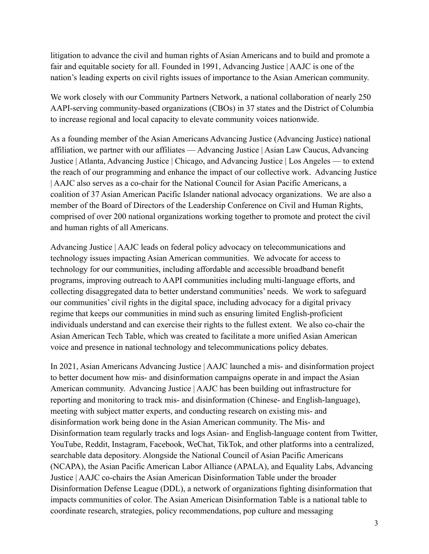litigation to advance the civil and human rights of Asian Americans and to build and promote a fair and equitable society for all. Founded in 1991, Advancing Justice | AAJC is one of the nation's leading experts on civil rights issues of importance to the Asian American community.

We work closely with our Community Partners Network, a national collaboration of nearly 250 AAPI-serving community-based organizations (CBOs) in 37 states and the District of Columbia to increase regional and local capacity to elevate community voices nationwide.

As a founding member of the Asian Americans Advancing Justice (Advancing Justice) national affiliation, we partner with our affiliates — Advancing Justice | Asian Law Caucus, Advancing Justice | Atlanta, Advancing Justice | Chicago, and Advancing Justice | Los Angeles — to extend the reach of our programming and enhance the impact of our collective work. Advancing Justice | AAJC also serves as a co-chair for the National Council for Asian Pacific Americans, a coalition of 37 Asian American Pacific Islander national advocacy organizations. We are also a member of the Board of Directors of the Leadership Conference on Civil and Human Rights, comprised of over 200 national organizations working together to promote and protect the civil and human rights of all Americans.

Advancing Justice | AAJC leads on federal policy advocacy on telecommunications and technology issues impacting Asian American communities. We advocate for access to technology for our communities, including affordable and accessible broadband benefit programs, improving outreach to AAPI communities including multi-language efforts, and collecting disaggregated data to better understand communities' needs. We work to safeguard our communities' civil rights in the digital space, including advocacy for a digital privacy regime that keeps our communities in mind such as ensuring limited English-proficient individuals understand and can exercise their rights to the fullest extent. We also co-chair the Asian American Tech Table, which was created to facilitate a more unified Asian American voice and presence in national technology and telecommunications policy debates.

In 2021, Asian Americans Advancing Justice | AAJC launched a mis- and disinformation project to better document how mis- and disinformation campaigns operate in and impact the Asian American community. Advancing Justice | AAJC has been building out infrastructure for reporting and monitoring to track mis- and disinformation (Chinese- and English-language), meeting with subject matter experts, and conducting research on existing mis- and disinformation work being done in the Asian American community. The Mis- and Disinformation team regularly tracks and logs Asian- and English-language content from Twitter, YouTube, Reddit, Instagram, Facebook, WeChat, TikTok, and other platforms into a centralized, searchable data depository. Alongside the National Council of Asian Pacific Americans (NCAPA), the Asian Pacific American Labor Alliance (APALA), and Equality Labs, Advancing Justice | AAJC co-chairs the Asian American Disinformation Table under the broader Disinformation Defense League (DDL), a network of organizations fighting disinformation that impacts communities of color. The Asian American Disinformation Table is a national table to coordinate research, strategies, policy recommendations, pop culture and messaging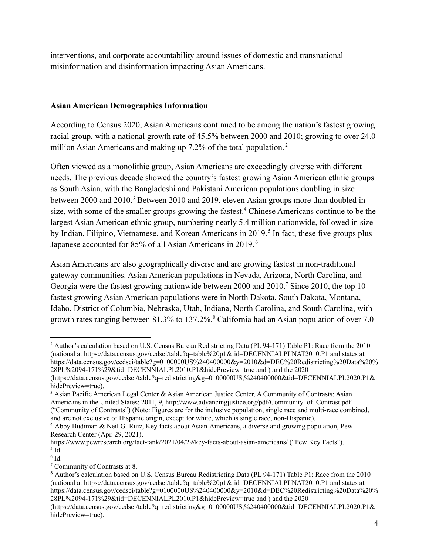interventions, and corporate accountability around issues of domestic and transnational misinformation and disinformation impacting Asian Americans.

## **Asian American Demographics Information**

According to Census 2020, Asian Americans continued to be among the nation's fastest growing racial group, with a national growth rate of 45.5% between 2000 and 2010; growing to over 24.0 million Asian Americans and making up 7.2% of the total population.<sup>2</sup>

Often viewed as a monolithic group, Asian Americans are exceedingly diverse with different needs. The previous decade showed the country's fastest growing Asian American ethnic groups as South Asian, with the Bangladeshi and Pakistani American populations doubling in size between 2000 and 2010.<sup>3</sup> Between 2010 and 2019, eleven Asian groups more than doubled in size, with some of the smaller groups growing the fastest.<sup>4</sup> Chinese Americans continue to be the largest Asian American ethnic group, numbering nearly 5.4 million nationwide, followed in size by Indian, Filipino, Vietnamese, and Korean Americans in 2019.<sup>5</sup> In fact, these five groups plus Japanese accounted for 85% of all Asian Americans in 2019. <sup>6</sup>

Asian Americans are also geographically diverse and are growing fastest in non-traditional gateway communities. Asian American populations in Nevada, Arizona, North Carolina, and Georgia were the fastest growing nationwide between 2000 and 2010.<sup>7</sup> Since 2010, the top 10 fastest growing Asian American populations were in North Dakota, South Dakota, Montana, Idaho, District of Columbia, Nebraska, Utah, Indiana, North Carolina, and South Carolina, with growth rates ranging between 81.3% to 137.2%.<sup>8</sup> California had an Asian population of over 7.0

<sup>2</sup> Author's calculation based on U.S. Census Bureau Redistricting Data (PL 94-171) Table P1: Race from the 2010 (national at https://data.census.gov/cedsci/table?q=table%20p1&tid=DECENNIALPLNAT2010.P1 and states at https://data.census.gov/cedsci/table?g=0100000US%240400000&y=2010&d=DEC%20Redistricting%20Data%20% 28PL%2094-171%29&tid=DECENNIALPL2010.P1&hidePreview=true and ) and the 2020 (https://data.census.gov/cedsci/table?q=redistricting&g=0100000US,%240400000&tid=DECENNIALPL2020.P1& hidePreview=true).

<sup>3</sup> Asian Pacific American Legal Center & Asian American Justice Center, A Community of Contrasts: Asian Americans in the United States: 2011, 9, http://www.advancingjustice.org/pdf/Community\_of\_Contrast.pdf ("Community of Contrasts") (Note: Figures are for the inclusive population, single race and multi-race combined, and are not exclusive of Hispanic origin, except for white, which is single race, non-Hispanic).

<sup>4</sup> Abby Budiman & Neil G. Ruiz, Key facts about Asian Americans, a diverse and growing population, Pew Research Center (Apr. 29, 2021),

 $<sup>5</sup>$  Id.</sup> https://www.pewresearch.org/fact-tank/2021/04/29/key-facts-about-asian-americans/ ("Pew Key Facts").

 $6$  Id.

<sup>7</sup> Community of Contrasts at 8.

<sup>8</sup> Author's calculation based on U.S. Census Bureau Redistricting Data (PL 94-171) Table P1: Race from the 2010 (national at https://data.census.gov/cedsci/table?q=table%20p1&tid=DECENNIALPLNAT2010.P1 and states at https://data.census.gov/cedsci/table?g=0100000US%240400000&y=2010&d=DEC%20Redistricting%20Data%20% 28PL%2094-171%29&tid=DECENNIALPL2010.P1&hidePreview=true and ) and the 2020

<sup>(</sup>https://data.census.gov/cedsci/table?q=redistricting&g=0100000US,%240400000&tid=DECENNIALPL2020.P1& hidePreview=true).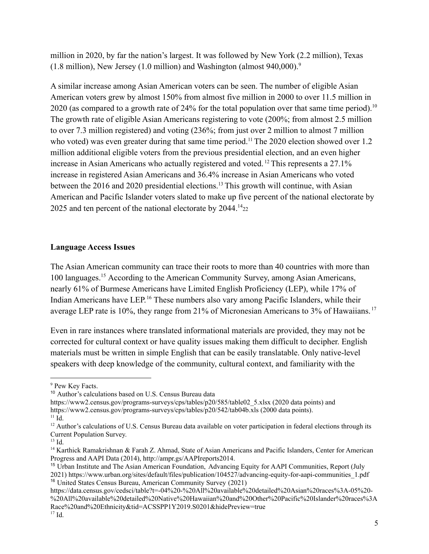million in 2020, by far the nation's largest. It was followed by New York (2.2 million), Texas  $(1.8 \text{ million})$ , New Jersey  $(1.0 \text{ million})$  and Washington (almost 940,000).<sup>9</sup>

A similar increase among Asian American voters can be seen. The number of eligible Asian American voters grew by almost 150% from almost five million in 2000 to over 11.5 million in 2020 (as compared to a growth rate of 24% for the total population over that same time period).<sup>10</sup> The growth rate of eligible Asian Americans registering to vote (200%; from almost 2.5 million to over 7.3 million registered) and voting (236%; from just over 2 million to almost 7 million who voted) was even greater during that same time period.<sup>11</sup> The 2020 election showed over 1.2 million additional eligible voters from the previous presidential election, and an even higher increase in Asian Americans who actually registered and voted. <sup>12</sup> This represents a 27.1% increase in registered Asian Americans and 36.4% increase in Asian Americans who voted between the 2016 and 2020 presidential elections.<sup>13</sup> This growth will continue, with Asian American and Pacific Islander voters slated to make up five percent of the national electorate by 2025 and ten percent of the national electorate by  $2044.^{14}$ <sub>22</sub>

#### **Language Access Issues**

The Asian American community can trace their roots to more than 40 countries with more than 100 languages.<sup>15</sup> According to the American Community Survey, among Asian Americans, nearly 61% of Burmese Americans have Limited English Proficiency (LEP), while 17% of Indian Americans have LEP. <sup>16</sup> These numbers also vary among Pacific Islanders, while their average LEP rate is 10%, they range from 21% of Micronesian Americans to 3% of Hawaiians. <sup>17</sup>

Even in rare instances where translated informational materials are provided, they may not be corrected for cultural context or have quality issues making them difficult to decipher. English materials must be written in simple English that can be easily translatable. Only native-level speakers with deep knowledge of the community, cultural context, and familiarity with the

<sup>9</sup> Pew Key Facts.

<sup>10</sup> Author's calculations based on U.S. Census Bureau data

https://www2.census.gov/programs-surveys/cps/tables/p20/585/table02\_5.xlsx (2020 data points) and https://www2.census.gov/programs-surveys/cps/tables/p20/542/tab04b.xls (2000 data points).

 $11$  Id.

<sup>&</sup>lt;sup>12</sup> Author's calculations of U.S. Census Bureau data available on voter participation in federal elections through its Current Population Survey.

<sup>13</sup> Id.

<sup>14</sup> Karthick Ramakrishnan & Farah Z. Ahmad, State of Asian Americans and Pacific Islanders, Center for American Progress and AAPI Data (2014), http://ampr.gs/AAPIreports2014.

<sup>16</sup> United States Census Bureau, American Community Survey (2021) <sup>15</sup> Urban Institute and The Asian American Foundation, Advancing Equity for AAPI Communities, Report (July 2021) https://www.urban.org/sites/default/files/publication/104527/advancing-equity-for-aapi-communities\_1.pdf

https://data.census.gov/cedsci/table?t=-04%20-%20All%20available%20detailed%20Asian%20races%3A-05%20- %20All%20available%20detailed%20Native%20Hawaiian%20and%20Other%20Pacific%20Islander%20races%3A Race%20and%20Ethnicity&tid=ACSSPP1Y2019.S0201&hidePreview=true

 $17$  Id.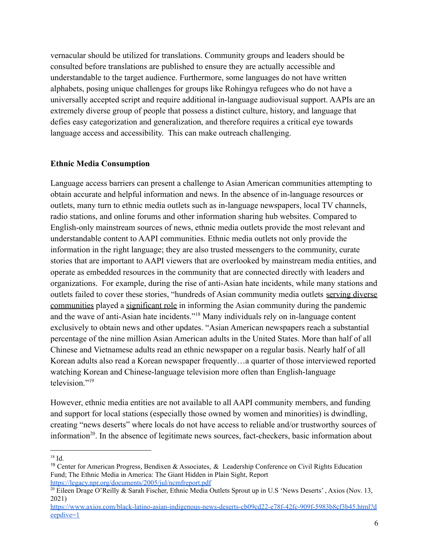vernacular should be utilized for translations. Community groups and leaders should be consulted before translations are published to ensure they are actually accessible and understandable to the target audience. Furthermore, some languages do not have written alphabets, posing unique challenges for groups like Rohingya refugees who do not have a universally accepted script and require additional in-language audiovisual support. AAPIs are an extremely diverse group of people that possess a distinct culture, history, and language that defies easy categorization and generalization, and therefore requires a critical eye towards language access and accessibility. This can make outreach challenging.

### **Ethnic Media Consumption**

Language access barriers can present a challenge to Asian American communities attempting to obtain accurate and helpful information and news. In the absence of in-language resources or outlets, many turn to ethnic media outlets such as in-language newspapers, local TV channels, radio stations, and online forums and other information sharing hub websites. Compared to English-only mainstream sources of news, ethnic media outlets provide the most relevant and understandable content to AAPI communities. Ethnic media outlets not only provide the information in the right language; they are also trusted messengers to the community, curate stories that are important to AAPI viewers that are overlooked by mainstream media entities, and operate as embedded resources in the community that are connected directly with leaders and organizations. For example, during the rise of anti-Asian hate incidents, while many stations and outlets failed to cover these stories, "hundreds of Asian community media outlets [serving diverse](https://www.journalism.cuny.edu/2021/05/new-ccm-report-reveals-a-vibrant-yet-little-known-asian-media-landscape/) [communities](https://www.journalism.cuny.edu/2021/05/new-ccm-report-reveals-a-vibrant-yet-little-known-asian-media-landscape/) played a [significant role](http://asianmediafrontlines.journalism.cuny.edu/) in informing the Asian community during the pandemic and the wave of anti-Asian hate incidents."<sup>18</sup> Many individuals rely on in-language content exclusively to obtain news and other updates. "Asian American newspapers reach a substantial percentage of the nine million Asian American adults in the United States. More than half of all Chinese and Vietnamese adults read an ethnic newspaper on a regular basis. Nearly half of all Korean adults also read a Korean newspaper frequently…a quarter of those interviewed reported watching Korean and Chinese-language television more often than English-language  $t$ elevision $^{219}$ 

However, ethnic media entities are not available to all AAPI community members, and funding and support for local stations (especially those owned by women and minorities) is dwindling, creating "news deserts" where locals do not have access to reliable and/or trustworthy sources of information<sup>20</sup>. In the absence of legitimate news sources, fact-checkers, basic information about

<sup>18</sup> Id.

<sup>&</sup>lt;sup>19</sup> Center for American Progress, Bendixen & Associates, & Leadership Conference on Civil Rights Education Fund; The Ethnic Media in America: The Giant Hidden in Plain Sight, Report <https://legacy.npr.org/documents/2005/jul/ncmfreport.pdf>

<sup>&</sup>lt;sup>20</sup> Eileen Drage O'Reilly & Sarah Fischer, Ethnic Media Outlets Sprout up in U.S 'News Deserts', Axios (Nov. 13, 2021)

[https://www.axios.com/black-latino-asian-indigenous-news-deserts-cb09cd22-e78f-42fc-909f-5983b8cf3b45.html?d](https://www.axios.com/black-latino-asian-indigenous-news-deserts-cb09cd22-e78f-42fc-909f-5983b8cf3b45.html?deepdive=1) [eepdive=1](https://www.axios.com/black-latino-asian-indigenous-news-deserts-cb09cd22-e78f-42fc-909f-5983b8cf3b45.html?deepdive=1)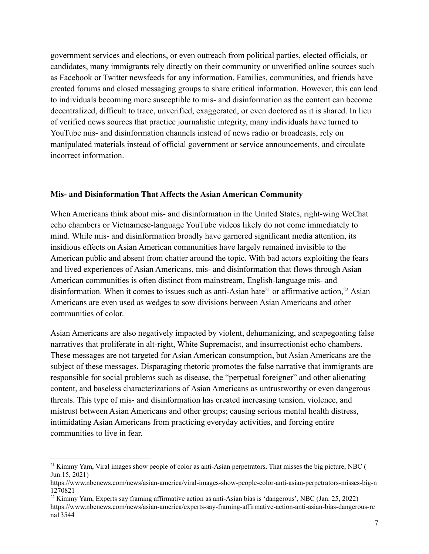government services and elections, or even outreach from political parties, elected officials, or candidates, many immigrants rely directly on their community or unverified online sources such as Facebook or Twitter newsfeeds for any information. Families, communities, and friends have created forums and closed messaging groups to share critical information. However, this can lead to individuals becoming more susceptible to mis- and disinformation as the content can become decentralized, difficult to trace, unverified, exaggerated, or even doctored as it is shared. In lieu of verified news sources that practice journalistic integrity, many individuals have turned to YouTube mis- and disinformation channels instead of news radio or broadcasts, rely on manipulated materials instead of official government or service announcements, and circulate incorrect information.

#### **Mis- and Disinformation That Affects the Asian American Community**

When Americans think about mis- and disinformation in the United States, right-wing WeChat echo chambers or Vietnamese-language YouTube videos likely do not come immediately to mind. While mis- and disinformation broadly have garnered significant media attention, its insidious effects on Asian American communities have largely remained invisible to the American public and absent from chatter around the topic. With bad actors exploiting the fears and lived experiences of Asian Americans, mis- and disinformation that flows through Asian American communities is often distinct from mainstream, English-language mis- and disinformation. When it comes to issues such as anti-Asian hate<sup>21</sup> or affirmative action,<sup>22</sup> Asian Americans are even used as wedges to sow divisions between Asian Americans and other communities of color.

Asian Americans are also negatively impacted by violent, dehumanizing, and scapegoating false narratives that proliferate in alt-right, White Supremacist, and insurrectionist echo chambers. These messages are not targeted for Asian American consumption, but Asian Americans are the subject of these messages. Disparaging rhetoric promotes the false narrative that immigrants are responsible for social problems such as disease, the "perpetual foreigner" and other alienating content, and baseless characterizations of Asian Americans as untrustworthy or even dangerous threats. This type of mis- and disinformation has created increasing tension, violence, and mistrust between Asian Americans and other groups; causing serious mental health distress, intimidating Asian Americans from practicing everyday activities, and forcing entire communities to live in fear.

<sup>&</sup>lt;sup>21</sup> Kimmy Yam, Viral images show people of color as anti-Asian perpetrators. That misses the big picture, NBC ( Jun.15, 2021)

https://www.nbcnews.com/news/asian-america/viral-images-show-people-color-anti-asian-perpetrators-misses-big-n 1270821

<sup>22</sup> Kimmy Yam, Experts say framing affirmative action as anti-Asian bias is 'dangerous', NBC (Jan. 25, 2022)

https://www.nbcnews.com/news/asian-america/experts-say-framing-affirmative-action-anti-asian-bias-dangerous-rc na13544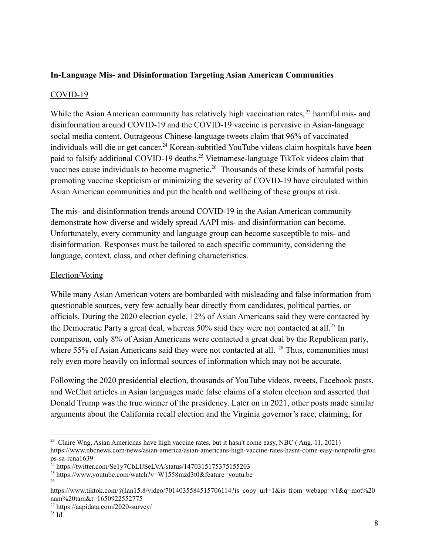# **In-Language Mis- and Disinformation Targeting Asian American Communities**

## COVID-19

While the Asian American community has relatively high vaccination rates, <sup>23</sup> harmful mis- and disinformation around COVID-19 and the COVID-19 vaccine is pervasive in Asian-language social media content. Outrageous Chinese-language tweets claim that 96% of vaccinated individuals will die or get cancer. <sup>24</sup> Korean-subtitled YouTube videos claim hospitals have been paid to falsify additional COVID-19 deaths.<sup>25</sup> Vietnamese-language TikTok videos claim that vaccines cause individuals to become magnetic.<sup>26</sup> Thousands of these kinds of harmful posts promoting vaccine skepticism or minimizing the severity of COVID-19 have circulated within Asian American communities and put the health and wellbeing of these groups at risk.

The mis- and disinformation trends around COVID-19 in the Asian American community demonstrate how diverse and widely spread AAPI mis- and disinformation can become. Unfortunately, every community and language group can become susceptible to mis- and disinformation. Responses must be tailored to each specific community, considering the language, context, class, and other defining characteristics.

### Election/Voting

While many Asian American voters are bombarded with misleading and false information from questionable sources, very few actually hear directly from candidates, political parties, or officials. During the 2020 election cycle, 12% of Asian Americans said they were contacted by the Democratic Party a great deal, whereas  $50\%$  said they were not contacted at all.<sup>27</sup> In comparison, only 8% of Asian Americans were contacted a great deal by the Republican party, where 55% of Asian Americans said they were not contacted at all. <sup>28</sup> Thus, communities must rely even more heavily on informal sources of information which may not be accurate.

Following the 2020 presidential election, thousands of YouTube videos, tweets, Facebook posts, and WeChat articles in Asian languages made false claims of a stolen election and asserted that Donald Trump was the true winner of the presidency. Later on in 2021, other posts made similar arguments about the California recall election and the Virginia governor's race, claiming, for

<sup>&</sup>lt;sup>23</sup> Claire Wng, Asian Americnas have high vaccine rates, but it hasn't come easy, NBC (Aug. 11, 2021) https://www.nbcnews.com/news/asian-america/asian-americans-high-vaccine-rates-hasnt-come-easy-nonprofit-grou ps-sa-rcna1639

<sup>&</sup>lt;sup>24</sup> https://twitter.com/Se1y7CbLIJSeLVA/status/1470315175375155203

<sup>26</sup> <sup>25</sup> https://www.youtube.com/watch?v=W1558mzd3t0&feature=youtu.be

https://www.tiktok.com/@lan15.8/video/7014035584515706114?is copy\_url=1&is\_from\_webapp=v1&q=mot%20 nam%20tam&t=1650922552775

<sup>27</sup> https://aapidata.com/2020-survey/

<sup>28</sup> Id.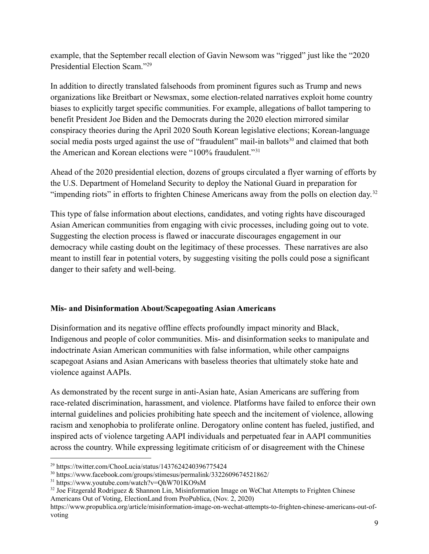example, that the September recall election of Gavin Newsom was "rigged" just like the "2020 Presidential Election Scam."<sup>29</sup>

In addition to directly translated falsehoods from prominent figures such as Trump and news organizations like Breitbart or Newsmax, some election-related narratives exploit home country biases to explicitly target specific communities. For example, allegations of ballot tampering to benefit President Joe Biden and the Democrats during the 2020 election mirrored similar conspiracy theories during the April 2020 South Korean legislative elections; Korean-language social media posts urged against the use of "fraudulent" mail-in ballots<sup>30</sup> and claimed that both the American and Korean elections were "100% fraudulent."<sup>31</sup>

Ahead of the 2020 presidential election, dozens of groups circulated a flyer warning of efforts by the U.S. Department of Homeland Security to deploy the National Guard in preparation for "impending riots" in efforts to frighten Chinese Americans away from the polls on election day.<sup>32</sup>

This type of false information about elections, candidates, and voting rights have discouraged Asian American communities from engaging with civic processes, including going out to vote. Suggesting the election process is flawed or inaccurate discourages engagement in our democracy while casting doubt on the legitimacy of these processes. These narratives are also meant to instill fear in potential voters, by suggesting visiting the polls could pose a significant danger to their safety and well-being.

# **Mis- and Disinformation About/Scapegoating Asian Americans**

Disinformation and its negative offline effects profoundly impact minority and Black, Indigenous and people of color communities. Mis- and disinformation seeks to manipulate and indoctrinate Asian American communities with false information, while other campaigns scapegoat Asians and Asian Americans with baseless theories that ultimately stoke hate and violence against AAPIs.

As demonstrated by the recent surge in anti-Asian hate, Asian Americans are suffering from race-related discrimination, harassment, and violence. Platforms have failed to enforce their own internal guidelines and policies prohibiting hate speech and the incitement of violence, allowing racism and xenophobia to proliferate online. Derogatory online content has fueled, justified, and inspired acts of violence targeting AAPI individuals and perpetuated fear in AAPI communities across the country. While expressing legitimate criticism of or disagreement with the Chinese

<sup>29</sup> https://twitter.com/ChooLucia/status/1437624240396775424

<sup>30</sup> https://www.facebook.com/groups/stimesus/permalink/3322609674521862/

<sup>31</sup> https://www.youtube.com/watch?v=QhW701KO9sM

 $32$  Joe Fitzgerald Rodriguez & Shannon Lin, Misinformation Image on WeChat Attempts to Frighten Chinese Americans Out of Voting, ElectionLand from ProPublica, (Nov. 2, 2020)

https://www.propublica.org/article/misinformation-image-on-wechat-attempts-to-frighten-chinese-americans-out-ofvoting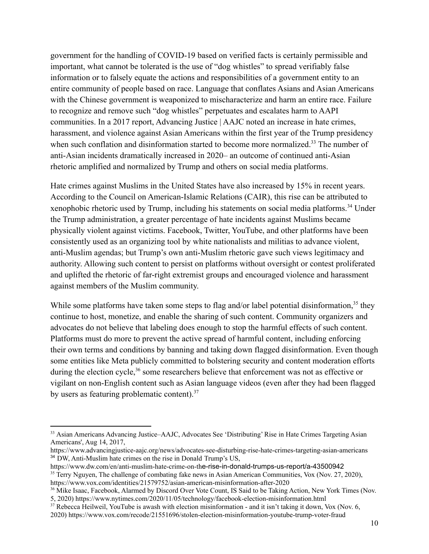government for the handling of COVID-19 based on verified facts is certainly permissible and important, what cannot be tolerated is the use of "dog whistles" to spread verifiably false information or to falsely equate the actions and responsibilities of a government entity to an entire community of people based on race. Language that conflates Asians and Asian Americans with the Chinese government is weaponized to mischaracterize and harm an entire race. Failure to recognize and remove such "dog whistles" perpetuates and escalates harm to AAPI communities. In a 2017 report, Advancing Justice | AAJC noted an increase in hate crimes, harassment, and violence against Asian Americans within the first year of the Trump presidency when such conflation and disinformation started to become more normalized.<sup>33</sup> The number of anti-Asian incidents dramatically increased in 2020– an outcome of continued anti-Asian rhetoric amplified and normalized by Trump and others on social media platforms.

Hate crimes against Muslims in the United States have also increased by 15% in recent years. According to the Council on American-Islamic Relations (CAIR), this rise can be attributed to xenophobic rhetoric used by Trump, including his statements on social media platforms.<sup>34</sup> Under the Trump administration, a greater percentage of hate incidents against Muslims became physically violent against victims. Facebook, Twitter, YouTube, and other platforms have been consistently used as an organizing tool by white nationalists and militias to advance violent, anti-Muslim agendas; but Trump's own anti-Muslim rhetoric gave such views legitimacy and authority. Allowing such content to persist on platforms without oversight or contest proliferated and uplifted the rhetoric of far-right extremist groups and encouraged violence and harassment against members of the Muslim community.

While some platforms have taken some steps to flag and/or label potential disinformation,<sup>35</sup> they continue to host, monetize, and enable the sharing of such content. Community organizers and advocates do not believe that labeling does enough to stop the harmful effects of such content. Platforms must do more to prevent the active spread of harmful content, including enforcing their own terms and conditions by banning and taking down flagged disinformation. Even though some entities like Meta publicly committed to bolstering security and content moderation efforts during the election cycle,<sup>36</sup> some researchers believe that enforcement was not as effective or vigilant on non-English content such as Asian language videos (even after they had been flagged by users as featuring problematic content).<sup>37</sup>

<sup>&</sup>lt;sup>33</sup> Asian Americans Advancing Justice–AAJC, Advocates See 'Distributing' Rise in Hate Crimes Targeting Asian Americans', Aug 14, 2017,

<sup>34</sup> DW, Anti-Muslim hate crimes on the rise in Donald Trump's US, https://www.advancingjustice-aajc.org/news/advocates-see-disturbing-rise-hate-crimes-targeting-asian-americans

<sup>&</sup>lt;sup>35</sup> Terry Nguyen, The challenge of combating fake news in Asian American Communities, Vox (Nov. 27, 2020), https://www.vox.com/identities/21579752/asian-american-misinformation-after-2020 https://www.dw.com/en/anti-muslim-hate-crime-on-the-rise-in-donald-trumps-us-report/a-43500942

<sup>&</sup>lt;sup>36</sup> Mike Isaac, Facebook, Alarmed by Discord Over Vote Count, IS Said to be Taking Action, New York Times (Nov. 5, 2020) https://www.nytimes.com/2020/11/05/technology/facebook-election-misinformation.html

<sup>&</sup>lt;sup>37</sup> Rebecca Heilweil, YouTube is awash with election misinformation - and it isn't taking it down, Vox (Nov. 6, 2020) https://www.vox.com/recode/21551696/stolen-election-misinformation-youtube-trump-voter-fraud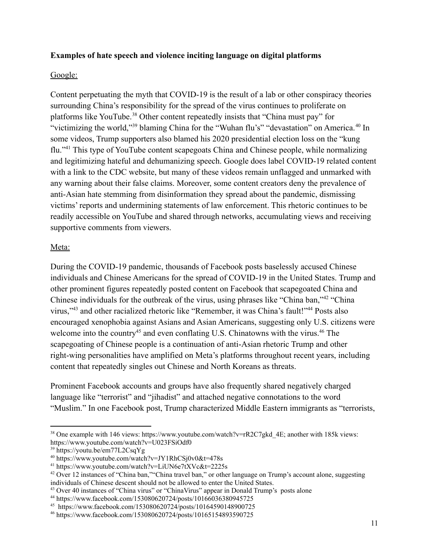## **Examples of hate speech and violence inciting language on digital platforms**

## Google:

Content perpetuating the myth that COVID-19 is the result of a lab or other conspiracy theories surrounding China's responsibility for the spread of the virus continues to proliferate on platforms like YouTube.<sup>38</sup> Other content repeatedly insists that "China must pay" for "victimizing the world,"<sup>39</sup> blaming China for the "Wuhan flu's" "devastation" on America.<sup>40</sup> In some videos, Trump supporters also blamed his 2020 presidential election loss on the "kung flu."<sup>41</sup> This type of YouTube content scapegoats China and Chinese people, while normalizing and legitimizing hateful and dehumanizing speech. Google does label COVID-19 related content with a link to the CDC website, but many of these videos remain unflagged and unmarked with any warning about their false claims. Moreover, some content creators deny the prevalence of anti-Asian hate stemming from disinformation they spread about the pandemic, dismissing victims' reports and undermining statements of law enforcement. This rhetoric continues to be readily accessible on YouTube and shared through networks, accumulating views and receiving supportive comments from viewers.

## Meta:

During the COVID-19 pandemic, thousands of Facebook posts baselessly accused Chinese individuals and Chinese Americans for the spread of COVID-19 in the United States. Trump and other prominent figures repeatedly posted content on Facebook that scapegoated China and Chinese individuals for the outbreak of the virus, using phrases like "China ban,"<sup>42</sup> "China virus,"<sup>43</sup> and other racialized rhetoric like "Remember, it was China's fault!"<sup>44</sup> Posts also encouraged xenophobia against Asians and Asian Americans, suggesting only U.S. citizens were welcome into the country<sup>45</sup> and even conflating U.S. Chinatowns with the virus.<sup>46</sup> The scapegoating of Chinese people is a continuation of anti-Asian rhetoric Trump and other right-wing personalities have amplified on Meta's platforms throughout recent years, including content that repeatedly singles out Chinese and North Koreans as threats.

Prominent Facebook accounts and groups have also frequently shared negatively charged language like "terrorist" and "jihadist" and attached negative connotations to the word "Muslim." In one Facebook post, Trump characterized Middle Eastern immigrants as "terrorists,

<sup>&</sup>lt;sup>38</sup> One example with 146 views: https://www.youtube.com/watch?v=rR2C7gkd 4E; another with 185k views: https://www.youtube.com/watch?v=U023FSiOdf0

<sup>39</sup> https://youtu.be/em77L2CsqYg

 $40$  https://www.youtube.com/watch?v=JY1RhCSj0v0&t=478s

<sup>41</sup> https://www.youtube.com/watch?v=LiUN6e7tXVc&t=2225s

<sup>42</sup> Over 12 instances of "China ban,""China travel ban," or other language on Trump's account alone, suggesting individuals of Chinese descent should not be allowed to enter the United States.

<sup>&</sup>lt;sup>43</sup> Over 40 instances of "China virus" or "ChinaVirus" appear in Donald Trump's posts alone

<sup>44</sup> https://www.facebook.com/153080620724/posts/10166036380945725

<sup>45</sup> https://www.facebook.com/153080620724/posts/10164590148900725

<sup>46</sup> https://www.facebook.com/153080620724/posts/10165154893590725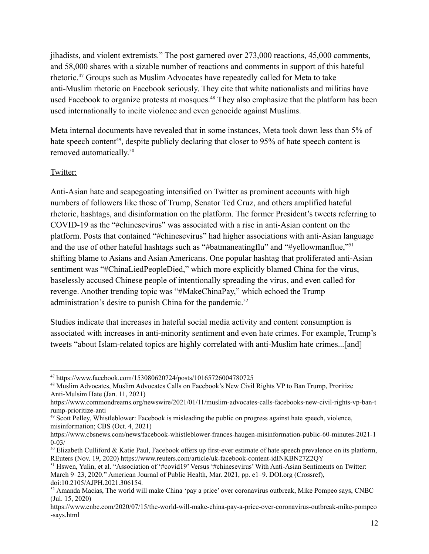jihadists, and violent extremists." The post garnered over 273,000 reactions, 45,000 comments, and 58,000 shares with a sizable number of reactions and comments in support of this hateful rhetoric.<sup>47</sup> Groups such as Muslim Advocates have repeatedly called for Meta to take anti-Muslim rhetoric on Facebook seriously. They cite that white nationalists and militias have used Facebook to organize protests at mosques.<sup>48</sup> They also emphasize that the platform has been used internationally to incite violence and even genocide against Muslims.

Meta internal documents have revealed that in some instances, Meta took down less than 5% of hate speech content<sup>49</sup>, despite publicly declaring that closer to 95% of hate speech content is removed automatically. 50

### Twitter:

Anti-Asian hate and scapegoating intensified on Twitter as prominent accounts with high numbers of followers like those of Trump, Senator Ted Cruz, and others amplified hateful rhetoric, hashtags, and disinformation on the platform. The former President's tweets referring to COVID-19 as the "#chinesevirus" was associated with a rise in anti-Asian content on the platform. Posts that contained "#chinesevirus" had higher associations with anti-Asian language and the use of other hateful hashtags such as "#batmaneatingflu" and "#yellowmanflue,"<sup>51</sup> shifting blame to Asians and Asian Americans. One popular hashtag that proliferated anti-Asian sentiment was "#ChinaLiedPeopleDied," which more explicitly blamed China for the virus, baselessly accused Chinese people of intentionally spreading the virus, and even called for revenge. Another trending topic was "#MakeChinaPay," which echoed the Trump administration's desire to punish China for the pandemic.<sup>52</sup>

Studies indicate that increases in hateful social media activity and content consumption is associated with increases in anti-minority sentiment and even hate crimes. For example, Trump's tweets "about Islam-related topics are highly correlated with anti-Muslim hate crimes...[and]

<sup>47</sup> https://www.facebook.com/153080620724/posts/10165726004780725

<sup>&</sup>lt;sup>48</sup> Muslim Advocates, Muslim Advocates Calls on Facebook's New Civil Rights VP to Ban Trump, Proritize Anti-Mulsim Hate (Jan. 11, 2021)

https://www.commondreams.org/newswire/2021/01/11/muslim-advocates-calls-facebooks-new-civil-rights-vp-ban-t rump-prioritize-anti

<sup>49</sup> Scott Pelley, Whistleblower: Facebook is misleading the public on progress against hate speech, violence, misinformation; CBS (Oct. 4, 2021)

https://www.cbsnews.com/news/facebook-whistleblower-frances-haugen-misinformation-public-60-minutes-2021-1  $0 - 03/$ 

 $50$  Elizabeth Culliford & Katie Paul, Facebook offers up first-ever estimate of hate speech prevalence on its platform, REuters (Nov. 19, 2020) https://www.reuters.com/article/uk-facebook-content-idINKBN27Z2QY

<sup>&</sup>lt;sup>51</sup> Hswen, Yulin, et al. "Association of '#covid19' Versus '#chinesevirus' With Anti-Asian Sentiments on Twitter: March 9–23, 2020." American Journal of Public Health, Mar. 2021, pp. e1–9. DOI.org (Crossref), doi:10.2105/AJPH.2021.306154.

<sup>52</sup> Amanda Macias, The world will make China 'pay a price' over coronavirus outbreak, Mike Pompeo says, CNBC (Jul. 15, 2020)

https://www.cnbc.com/2020/07/15/the-world-will-make-china-pay-a-price-over-coronavirus-outbreak-mike-pompeo -says.html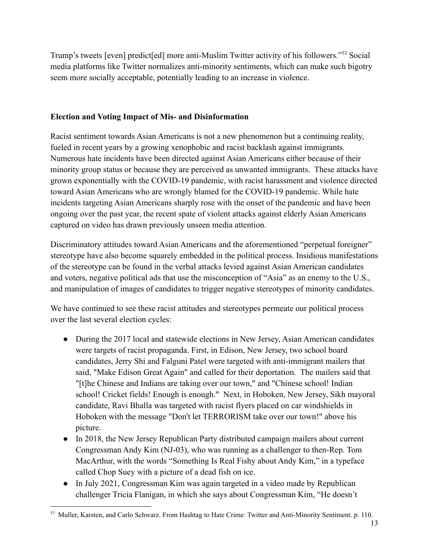Trump's tweets [even] predict[ed] more anti-Muslim Twitter activity of his followers."<sup>53</sup> Social media platforms like Twitter normalizes anti-minority sentiments, which can make such bigotry seem more socially acceptable, potentially leading to an increase in violence.

## **Election and Voting Impact of Mis- and Disinformation**

Racist sentiment towards Asian Americans is not a new phenomenon but a continuing reality, fueled in recent years by a growing xenophobic and racist backlash against immigrants. Numerous hate incidents have been directed against Asian Americans either because of their minority group status or because they are perceived as unwanted immigrants. These attacks have grown exponentially with the COVID-19 pandemic, with racist harassment and violence directed toward Asian Americans who are wrongly blamed for the COVID-19 pandemic. While hate incidents targeting Asian Americans sharply rose with the onset of the pandemic and have been ongoing over the past year, the recent spate of violent attacks against elderly Asian Americans captured on video has drawn previously unseen media attention.

Discriminatory attitudes toward Asian Americans and the aforementioned "perpetual foreigner" stereotype have also become squarely embedded in the political process. Insidious manifestations of the stereotype can be found in the verbal attacks levied against Asian American candidates and voters, negative political ads that use the misconception of "Asia" as an enemy to the U.S., and manipulation of images of candidates to trigger negative stereotypes of minority candidates.

We have continued to see these racist attitudes and stereotypes permeate our political process over the last several election cycles:

- During the 2017 local and statewide elections in New Jersey, Asian American candidates were targets of racist propaganda. First, in Edison, New Jersey, two school board candidates, Jerry Shi and Falguni Patel were targeted with anti-immigrant mailers that said, "Make Edison Great Again" and called for their deportation. The mailers said that "[t]he Chinese and Indians are taking over our town," and "Chinese school! Indian school! Cricket fields! Enough is enough." Next, in Hoboken, New Jersey, Sikh mayoral candidate, Ravi Bhalla was targeted with racist flyers placed on car windshields in Hoboken with the message "Don't let TERRORISM take over our town!" above his picture.
- In 2018, the New Jersey Republican Party distributed campaign mailers about current Congressman Andy Kim (NJ-03), who was running as a challenger to then-Rep. Tom MacArthur, with the words "Something Is Real Fishy about Andy Kim," in a typeface called Chop Suey with a picture of a dead fish on ice.
- In July 2021, Congressman Kim was again targeted in a video made by Republican challenger Tricia Flanigan, in which she says about Congressman Kim, "He doesn't

<sup>53</sup> Muller, Karsten, and Carlo Schwarz. From Hashtag to Hate Crime: Twitter and Anti-Minority Sentiment. p. 110.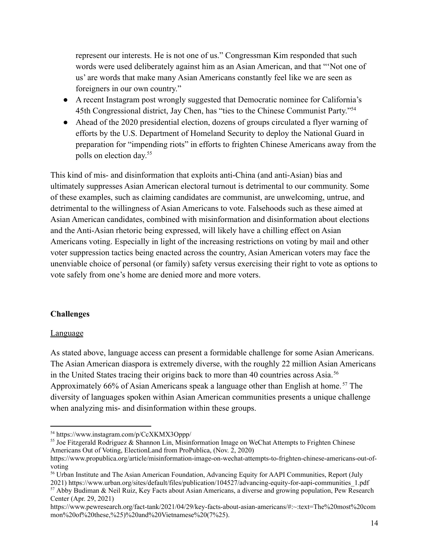represent our interests. He is not one of us." Congressman Kim responded that such words were used deliberately against him as an Asian American, and that "'Not one of us' are words that make many Asian Americans constantly feel like we are seen as foreigners in our own country."

- A recent Instagram post wrongly suggested that Democratic nominee for California's 45th Congressional district, Jay Chen, has "ties to the Chinese Communist Party."<sup>54</sup>
- Ahead of the 2020 presidential election, dozens of groups circulated a flyer warning of efforts by the U.S. Department of Homeland Security to deploy the National Guard in preparation for "impending riots" in efforts to frighten Chinese Americans away from the polls on election day. 55

This kind of mis- and disinformation that exploits anti-China (and anti-Asian) bias and ultimately suppresses Asian American electoral turnout is detrimental to our community. Some of these examples, such as claiming candidates are communist, are unwelcoming, untrue, and detrimental to the willingness of Asian Americans to vote. Falsehoods such as these aimed at Asian American candidates, combined with misinformation and disinformation about elections and the Anti-Asian rhetoric being expressed, will likely have a chilling effect on Asian Americans voting. Especially in light of the increasing restrictions on voting by mail and other voter suppression tactics being enacted across the country, Asian American voters may face the unenviable choice of personal (or family) safety versus exercising their right to vote as options to vote safely from one's home are denied more and more voters.

### **Challenges**

### Language

As stated above, language access can present a formidable challenge for some Asian Americans. The Asian American diaspora is extremely diverse, with the roughly 22 million Asian Americans in the United States tracing their origins back to more than 40 countries across Asia.<sup>56</sup> Approximately 66% of Asian Americans speak a language other than English at home.<sup>57</sup> The diversity of languages spoken within Asian American communities presents a unique challenge when analyzing mis- and disinformation within these groups.

<sup>55</sup> Joe Fitzgerald Rodriguez & Shannon Lin, Misinformation Image on WeChat Attempts to Frighten Chinese Americans Out of Voting, ElectionLand from ProPublica, (Nov. 2, 2020)

<sup>57</sup> Abby Budiman & Neil Ruiz, Key Facts about Asian Americans, a diverse and growing population, Pew Research Center (Apr. 29, 2021)

https://www.pewresearch.org/fact-tank/2021/04/29/key-facts-about-asian-americans/#:~:text=The%20most%20com mon%20of%20these,%25)%20and%20Vietnamese%20(7%25).

<sup>54</sup> https://www.instagram.com/p/CcXKMX3Oppp/

https://www.propublica.org/article/misinformation-image-on-wechat-attempts-to-frighten-chinese-americans-out-ofvoting

<sup>&</sup>lt;sup>56</sup> Urban Institute and The Asian American Foundation, Advancing Equity for AAPI Communities, Report (July 2021) https://www.urban.org/sites/default/files/publication/104527/advancing-equity-for-aapi-communities\_1.pdf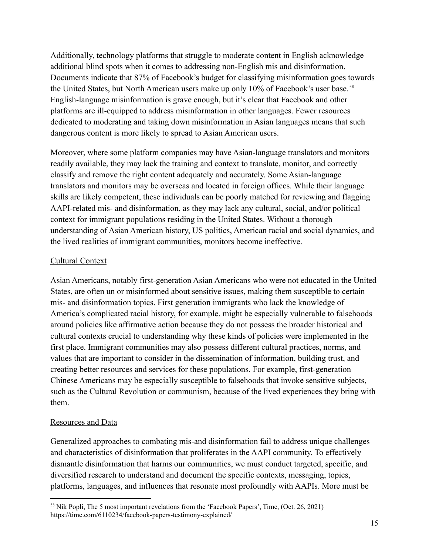Additionally, technology platforms that struggle to moderate content in English acknowledge additional blind spots when it comes to addressing non-English mis and disinformation. Documents indicate that 87% of Facebook's budget for classifying misinformation goes towards the United States, but North American users make up only 10% of Facebook's user base.<sup>58</sup> English-language misinformation is grave enough, but it's clear that Facebook and other platforms are ill-equipped to address misinformation in other languages. Fewer resources dedicated to moderating and taking down misinformation in Asian languages means that such dangerous content is more likely to spread to Asian American users.

Moreover, where some platform companies may have Asian-language translators and monitors readily available, they may lack the training and context to translate, monitor, and correctly classify and remove the right content adequately and accurately. Some Asian-language translators and monitors may be overseas and located in foreign offices. While their language skills are likely competent, these individuals can be poorly matched for reviewing and flagging AAPI-related mis- and disinformation, as they may lack any cultural, social, and/or political context for immigrant populations residing in the United States. Without a thorough understanding of Asian American history, US politics, American racial and social dynamics, and the lived realities of immigrant communities, monitors become ineffective.

## Cultural Context

Asian Americans, notably first-generation Asian Americans who were not educated in the United States, are often un or misinformed about sensitive issues, making them susceptible to certain mis- and disinformation topics. First generation immigrants who lack the knowledge of America's complicated racial history, for example, might be especially vulnerable to falsehoods around policies like affirmative action because they do not possess the broader historical and cultural contexts crucial to understanding why these kinds of policies were implemented in the first place. Immigrant communities may also possess different cultural practices, norms, and values that are important to consider in the dissemination of information, building trust, and creating better resources and services for these populations. For example, first-generation Chinese Americans may be especially susceptible to falsehoods that invoke sensitive subjects, such as the Cultural Revolution or communism, because of the lived experiences they bring with them.

# Resources and Data

Generalized approaches to combating mis-and disinformation fail to address unique challenges and characteristics of disinformation that proliferates in the AAPI community. To effectively dismantle disinformation that harms our communities, we must conduct targeted, specific, and diversified research to understand and document the specific contexts, messaging, topics, platforms, languages, and influences that resonate most profoundly with AAPIs. More must be

<sup>&</sup>lt;sup>58</sup> Nik Popli, The 5 most important revelations from the 'Facebook Papers', Time, (Oct. 26, 2021) https://time.com/6110234/facebook-papers-testimony-explained/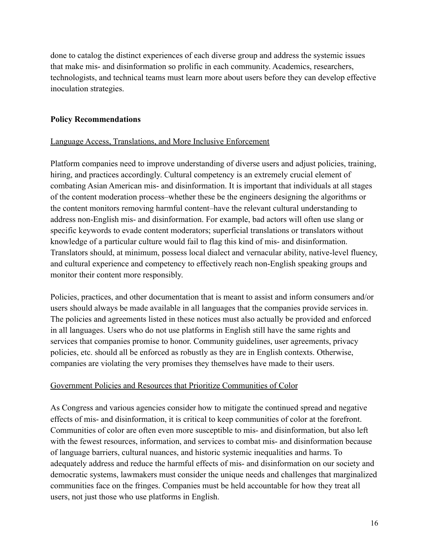done to catalog the distinct experiences of each diverse group and address the systemic issues that make mis- and disinformation so prolific in each community. Academics, researchers, technologists, and technical teams must learn more about users before they can develop effective inoculation strategies.

### **Policy Recommendations**

## Language Access, Translations, and More Inclusive Enforcement

Platform companies need to improve understanding of diverse users and adjust policies, training, hiring, and practices accordingly. Cultural competency is an extremely crucial element of combating Asian American mis- and disinformation. It is important that individuals at all stages of the content moderation process–whether these be the engineers designing the algorithms or the content monitors removing harmful content–have the relevant cultural understanding to address non-English mis- and disinformation. For example, bad actors will often use slang or specific keywords to evade content moderators; superficial translations or translators without knowledge of a particular culture would fail to flag this kind of mis- and disinformation. Translators should, at minimum, possess local dialect and vernacular ability, native-level fluency, and cultural experience and competency to effectively reach non-English speaking groups and monitor their content more responsibly.

Policies, practices, and other documentation that is meant to assist and inform consumers and/or users should always be made available in all languages that the companies provide services in. The policies and agreements listed in these notices must also actually be provided and enforced in all languages. Users who do not use platforms in English still have the same rights and services that companies promise to honor. Community guidelines, user agreements, privacy policies, etc. should all be enforced as robustly as they are in English contexts. Otherwise, companies are violating the very promises they themselves have made to their users.

### Government Policies and Resources that Prioritize Communities of Color

As Congress and various agencies consider how to mitigate the continued spread and negative effects of mis- and disinformation, it is critical to keep communities of color at the forefront. Communities of color are often even more susceptible to mis- and disinformation, but also left with the fewest resources, information, and services to combat mis- and disinformation because of language barriers, cultural nuances, and historic systemic inequalities and harms. To adequately address and reduce the harmful effects of mis- and disinformation on our society and democratic systems, lawmakers must consider the unique needs and challenges that marginalized communities face on the fringes. Companies must be held accountable for how they treat all users, not just those who use platforms in English.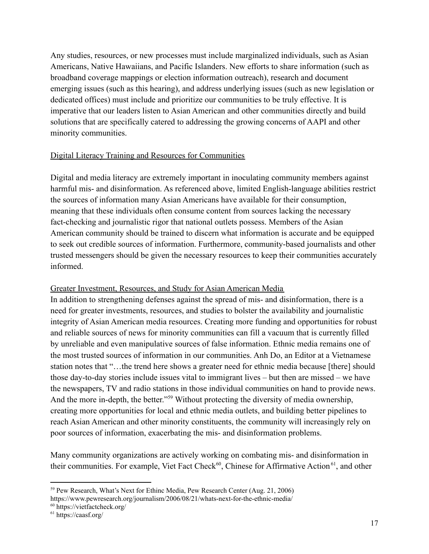Any studies, resources, or new processes must include marginalized individuals, such as Asian Americans, Native Hawaiians, and Pacific Islanders. New efforts to share information (such as broadband coverage mappings or election information outreach), research and document emerging issues (such as this hearing), and address underlying issues (such as new legislation or dedicated offices) must include and prioritize our communities to be truly effective. It is imperative that our leaders listen to Asian American and other communities directly and build solutions that are specifically catered to addressing the growing concerns of AAPI and other minority communities.

#### Digital Literacy Training and Resources for Communities

Digital and media literacy are extremely important in inoculating community members against harmful mis- and disinformation. As referenced above, limited English-language abilities restrict the sources of information many Asian Americans have available for their consumption, meaning that these individuals often consume content from sources lacking the necessary fact-checking and journalistic rigor that national outlets possess. Members of the Asian American community should be trained to discern what information is accurate and be equipped to seek out credible sources of information. Furthermore, community-based journalists and other trusted messengers should be given the necessary resources to keep their communities accurately informed.

### Greater Investment, Resources, and Study for Asian American Media

In addition to strengthening defenses against the spread of mis- and disinformation, there is a need for greater investments, resources, and studies to bolster the availability and journalistic integrity of Asian American media resources. Creating more funding and opportunities for robust and reliable sources of news for minority communities can fill a vacuum that is currently filled by unreliable and even manipulative sources of false information. Ethnic media remains one of the most trusted sources of information in our communities. Anh Do, an Editor at a Vietnamese station notes that "…the trend here shows a greater need for ethnic media because [there] should those day-to-day stories include issues vital to immigrant lives – but then are missed – we have the newspapers, TV and radio stations in those individual communities on hand to provide news. And the more in-depth, the better."<sup>59</sup> Without protecting the diversity of media ownership, creating more opportunities for local and ethnic media outlets, and building better pipelines to reach Asian American and other minority constituents, the community will increasingly rely on poor sources of information, exacerbating the mis- and disinformation problems.

Many community organizations are actively working on combating mis- and disinformation in their communities. For example, Viet Fact Check<sup>60</sup>, Chinese for Affirmative Action<sup>61</sup>, and other

<sup>59</sup> Pew Research, What's Next for Ethinc Media, Pew Research Center (Aug. 21, 2006) https://www.pewresearch.org/journalism/2006/08/21/whats-next-for-the-ethnic-media/

<sup>60</sup> https://vietfactcheck.org/

<sup>61</sup> https://caasf.org/